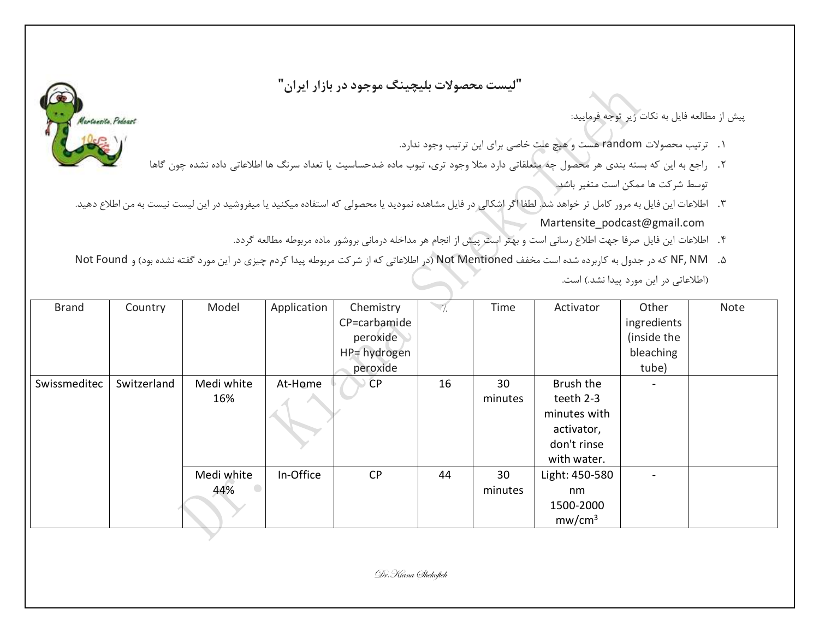**"لیست محصوالت بلیچینگ موجود در بازار ایران"**

## پیش از مطالعه فایل به نکات زیر توجه فرمایید:

- .1 ترتیب محصوالت random هست و هیچ علت خاصی برای این ترتیب وجود ندارد.
- .2 راجع به این که بسته بندی هر محصول چه متعلقاتی دارد مثال وجود تری، تیوب ماده ضدحساسیت یا تعداد سرنگ ها اطالعاتی داده نشده چون گاها توسط شرکت ها ممکن است متغیر باشد.
- ۳. اطلاعات این فایل به مرور کامل تر خواهد شد. لطفا اگر اشکالی در فایل مشاهده نمودید یا محصولی که استفاده میکنید یا میفروشید در این لیست نیست به من اطلاع دهید. Martensite\_podcast@gmail.com
	- .4 اطالعات این فایل صرفا جهت اطالع رسانی است و بهتر است پیش از انجام هر مداخله درمانی بروشور ماده مربوطه مطالعه گردد.
- ۰. NF, NM که در جدول به کاربرده شده است مخفف Not Mentioned (در اطلاعاتی که از شرکت مربوطه پیدا کردم چیزی در این مورد گفته نشده بود) و Not Found (اطلاعاتی در این مورد پیدا نشد.) است.

| <b>Brand</b> | Country     | Model      | Application | Chemistry    | $\overline{\gamma}$ . | Time    | Activator          | Other       | Note |
|--------------|-------------|------------|-------------|--------------|-----------------------|---------|--------------------|-------------|------|
|              |             |            |             | CP=carbamide |                       |         |                    | ingredients |      |
|              |             |            |             | peroxide     |                       |         |                    | (inside the |      |
|              |             |            |             | HP= hydrogen |                       |         |                    | bleaching   |      |
|              |             |            |             | peroxide     |                       |         |                    | tube)       |      |
| Swissmeditec | Switzerland | Medi white | At-Home     | <b>CP</b>    | 16                    | 30      | Brush the          |             |      |
|              |             | 16%        |             |              |                       | minutes | teeth 2-3          |             |      |
|              |             |            |             |              |                       |         | minutes with       |             |      |
|              |             |            |             |              |                       |         | activator,         |             |      |
|              |             |            |             |              |                       |         | don't rinse        |             |      |
|              |             |            |             |              |                       |         | with water.        |             |      |
|              |             | Medi white | In-Office   | <b>CP</b>    | 44                    | 30      | Light: 450-580     | -           |      |
|              |             | 44%        |             |              |                       | minutes | nm                 |             |      |
|              |             |            |             |              |                       |         | 1500-2000          |             |      |
|              |             |            |             |              |                       |         | mw/cm <sup>3</sup> |             |      |

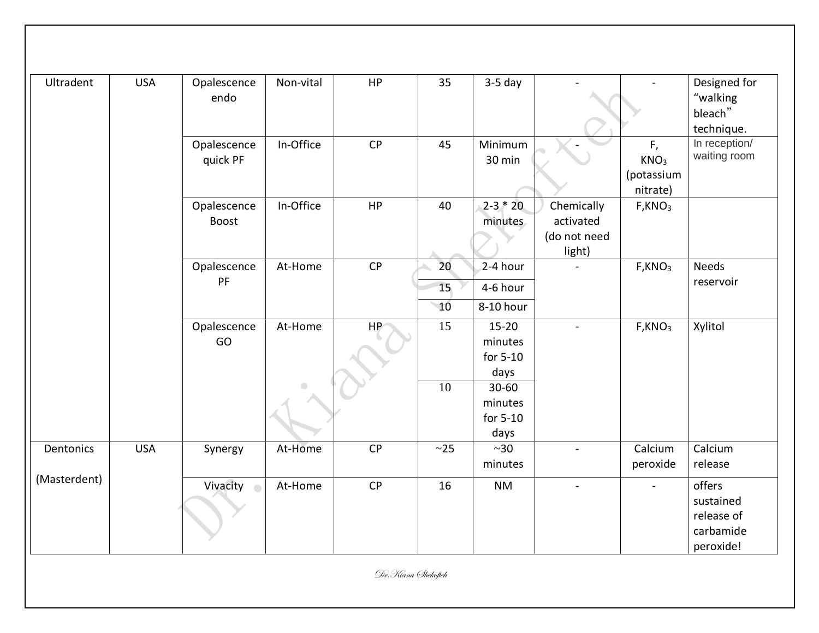| Ultradent    | <b>USA</b> | Opalescence<br>endo         | Non-vital  | HP | 35                      | $3-5$ day                                |                                                   |                                                  | Designed for<br>"walking<br>bleach"<br>technique.           |
|--------------|------------|-----------------------------|------------|----|-------------------------|------------------------------------------|---------------------------------------------------|--------------------------------------------------|-------------------------------------------------------------|
|              |            | Opalescence<br>quick PF     | In-Office  | CP | 45                      | Minimum<br>30 min                        |                                                   | F,<br>KNO <sub>3</sub><br>(potassium<br>nitrate) | In reception/<br>waiting room                               |
|              |            | Opalescence<br><b>Boost</b> | In-Office  | HP | 40                      | $2-3 * 20$<br>minutes                    | Chemically<br>activated<br>(do not need<br>light) | F,KNO <sub>3</sub>                               |                                                             |
|              |            | Opalescence<br>PF           | At-Home    | CP | 20<br>15<br>$\sqrt{10}$ | $2-4$ hour<br>4-6 hour<br>8-10 hour      |                                                   | F,KNO <sub>3</sub>                               | <b>Needs</b><br>reservoir                                   |
|              |            | Opalescence<br>GO           | At-Home    | HP | 15                      | $15 - 20$<br>minutes<br>for 5-10<br>days | $\blacksquare$                                    | F,KNO <sub>3</sub>                               | Xylitol                                                     |
|              |            |                             | $\bigcirc$ |    | 10                      | 30-60<br>minutes<br>for 5-10<br>days     |                                                   |                                                  |                                                             |
| Dentonics    | <b>USA</b> | Synergy                     | At-Home    | CP | ~25                     | $~1$ - $30$<br>minutes                   | $\blacksquare$                                    | Calcium<br>peroxide                              | Calcium<br>release                                          |
| (Masterdent) |            | Vivacity o                  | At-Home    | CP | 16                      | <b>NM</b>                                | $\blacksquare$                                    | $\blacksquare$                                   | offers<br>sustained<br>release of<br>carbamide<br>peroxide! |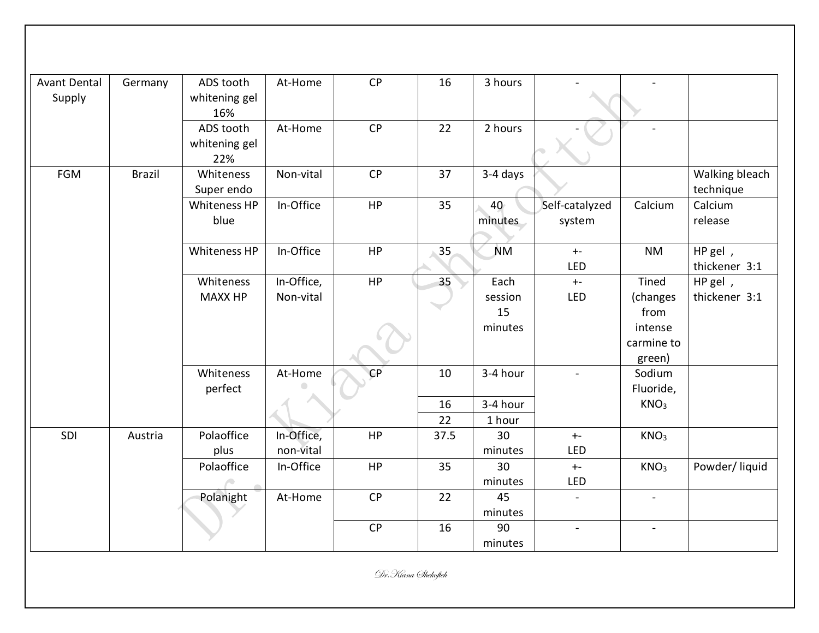| <b>Avant Dental</b> | Germany       | ADS tooth            | At-Home    | CP | 16              | 3 hours   |                |                  |                |
|---------------------|---------------|----------------------|------------|----|-----------------|-----------|----------------|------------------|----------------|
| Supply              |               | whitening gel<br>16% |            |    |                 |           |                |                  |                |
|                     |               | ADS tooth            | At-Home    | CP | 22              | 2 hours   |                |                  |                |
|                     |               | whitening gel<br>22% |            |    |                 |           |                |                  |                |
| <b>FGM</b>          | <b>Brazil</b> | Whiteness            | Non-vital  | CP | 37              | 3-4 days  |                |                  | Walking bleach |
|                     |               | Super endo           |            |    |                 |           |                |                  | technique      |
|                     |               | Whiteness HP         | In-Office  | HP | 35              | 40        | Self-catalyzed | Calcium          | Calcium        |
|                     |               | blue                 |            |    |                 | minutes   | system         |                  | release        |
|                     |               |                      |            |    |                 |           |                |                  |                |
|                     |               | Whiteness HP         | In-Office  | HP | 35              | <b>NM</b> | $+ -$          | <b>NM</b>        | HP gel,        |
|                     |               |                      |            |    |                 |           | LED            |                  | thickener 3:1  |
|                     |               | Whiteness            | In-Office, | HP | 35 <sup>°</sup> | Each      | $+ -$          | Tined            | HP gel,        |
|                     |               | <b>MAXX HP</b>       | Non-vital  |    |                 | session   | LED            | (changes         | thickener 3:1  |
|                     |               |                      |            |    |                 | 15        |                | from             |                |
|                     |               |                      |            |    |                 | minutes   |                | intense          |                |
|                     |               |                      |            |    |                 |           |                | carmine to       |                |
|                     |               |                      |            |    |                 |           |                | green)           |                |
|                     |               | Whiteness            | At-Home    | CP | 10              | 3-4 hour  |                | Sodium           |                |
|                     |               | perfect              |            |    |                 |           |                | Fluoride,        |                |
|                     |               |                      |            |    | 16              | 3-4 hour  |                | KNO <sub>3</sub> |                |
|                     |               |                      |            |    | 22              | 1 hour    |                |                  |                |
| SDI                 | Austria       | Polaoffice           | In-Office, | HP | 37.5            | 30        | $\pm$ -        | KNO <sub>3</sub> |                |
|                     |               | plus                 | non-vital  |    |                 | minutes   | <b>LED</b>     |                  |                |
|                     |               | Polaoffice           | In-Office  | HP | 35              | 30        | $+ -$          | KNO <sub>3</sub> | Powder/liquid  |
|                     |               |                      |            |    |                 | minutes   | LED            |                  |                |
|                     |               | Polanight            | At-Home    | CP | 22              | 45        | $\blacksquare$ | $\blacksquare$   |                |
|                     |               |                      |            |    |                 | minutes   |                |                  |                |
|                     |               |                      |            | CP | 16              | 90        | $\blacksquare$ |                  |                |
|                     |               |                      |            |    |                 | minutes   |                |                  |                |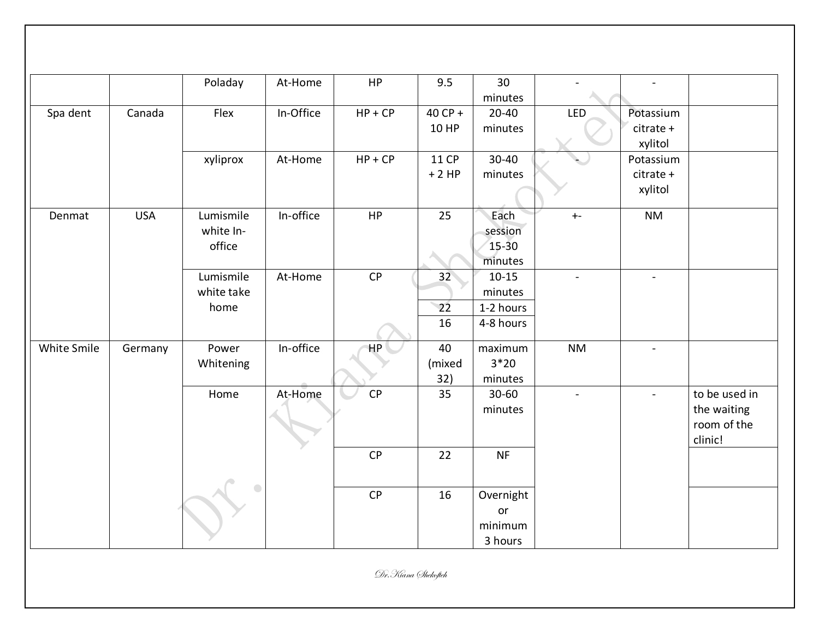|             |            | Poladay    | At-Home   | HP        | 9.5             | 30        |                |                          |               |
|-------------|------------|------------|-----------|-----------|-----------------|-----------|----------------|--------------------------|---------------|
|             |            |            |           |           |                 | minutes   |                |                          |               |
| Spa dent    | Canada     | Flex       | In-Office | $HP + CP$ | 40 CP +         | $20 - 40$ | LED            | Potassium                |               |
|             |            |            |           |           | 10 HP           | minutes   |                | citrate +                |               |
|             |            |            |           |           |                 |           |                | xylitol                  |               |
|             |            | xyliprox   | At-Home   | $HP + CP$ | <b>11 CP</b>    | $30 - 40$ |                | Potassium                |               |
|             |            |            |           |           | $+2HP$          | minutes   |                | citrate +                |               |
|             |            |            |           |           |                 |           |                | xylitol                  |               |
| Denmat      | <b>USA</b> | Lumismile  | In-office | HP        | 25              | Each      | $+ -$          | <b>NM</b>                |               |
|             |            | white In-  |           |           |                 | session   |                |                          |               |
|             |            | office     |           |           |                 | $15-30$   |                |                          |               |
|             |            |            |           |           |                 | minutes   |                |                          |               |
|             |            | Lumismile  | At-Home   | CP        | 32 <sup>°</sup> | $10 - 15$ | $\blacksquare$ | $\overline{\phantom{a}}$ |               |
|             |            | white take |           |           |                 | minutes   |                |                          |               |
|             |            | home       |           |           | 22              | 1-2 hours |                |                          |               |
|             |            |            |           |           | 16              | 4-8 hours |                |                          |               |
| White Smile | Germany    | Power      | In-office | HP        | 40              | maximum   | <b>NM</b>      | $\blacksquare$           |               |
|             |            | Whitening  |           |           | (mixed          | $3*20$    |                |                          |               |
|             |            |            |           |           | 32)             | minutes   |                |                          |               |
|             |            | Home       | At-Home   | CP        | 35              | $30 - 60$ | $\blacksquare$ | $\blacksquare$           | to be used in |
|             |            |            |           |           |                 | minutes   |                |                          | the waiting   |
|             |            |            |           |           |                 |           |                |                          | room of the   |
|             |            |            |           |           |                 |           |                |                          | clinic!       |
|             |            |            |           | CP        | 22              | <b>NF</b> |                |                          |               |
|             |            |            |           |           |                 |           |                |                          |               |
|             |            |            |           | <b>CP</b> | 16              | Overnight |                |                          |               |
|             |            |            |           |           |                 | or        |                |                          |               |
|             |            |            |           |           |                 | minimum   |                |                          |               |
|             |            |            |           |           |                 | 3 hours   |                |                          |               |